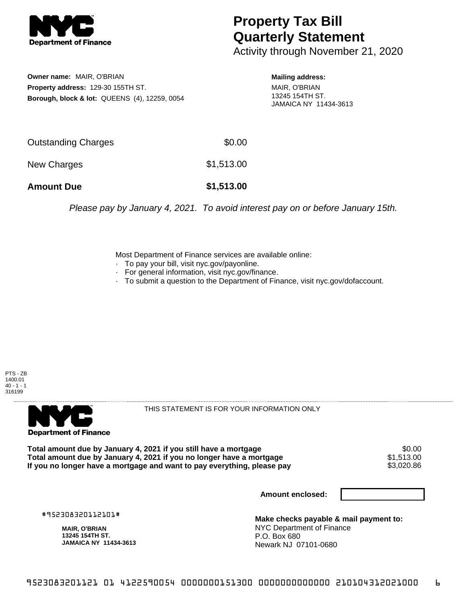

## **Property Tax Bill Quarterly Statement**

Activity through November 21, 2020

**Owner name:** MAIR, O'BRIAN **Property address:** 129-30 155TH ST. **Borough, block & lot:** QUEENS (4), 12259, 0054 **Mailing address:**

MAIR, O'BRIAN 13245 154TH ST. JAMAICA NY 11434-3613

| <b>Amount Due</b>          | \$1,513.00 |
|----------------------------|------------|
| New Charges                | \$1,513.00 |
| <b>Outstanding Charges</b> | \$0.00     |

Please pay by January 4, 2021. To avoid interest pay on or before January 15th.

Most Department of Finance services are available online:

- · To pay your bill, visit nyc.gov/payonline.
- For general information, visit nyc.gov/finance.
- · To submit a question to the Department of Finance, visit nyc.gov/dofaccount.

PTS - ZB 1400.01  $40 - 1 - 1$ 316199



THIS STATEMENT IS FOR YOUR INFORMATION ONLY

Total amount due by January 4, 2021 if you still have a mortgage \$0.00<br>Total amount due by January 4, 2021 if you no longer have a mortgage \$1.513.00 **Total amount due by January 4, 2021 if you no longer have a mortgage**  $$1,513.00$ **<br>If you no longer have a mortgage and want to pay everything, please pay <b>show that have a** \$3,020.86 If you no longer have a mortgage and want to pay everything, please pay

**Amount enclosed:**

#952308320112101#

**MAIR, O'BRIAN 13245 154TH ST. JAMAICA NY 11434-3613**

**Make checks payable & mail payment to:** NYC Department of Finance P.O. Box 680 Newark NJ 07101-0680